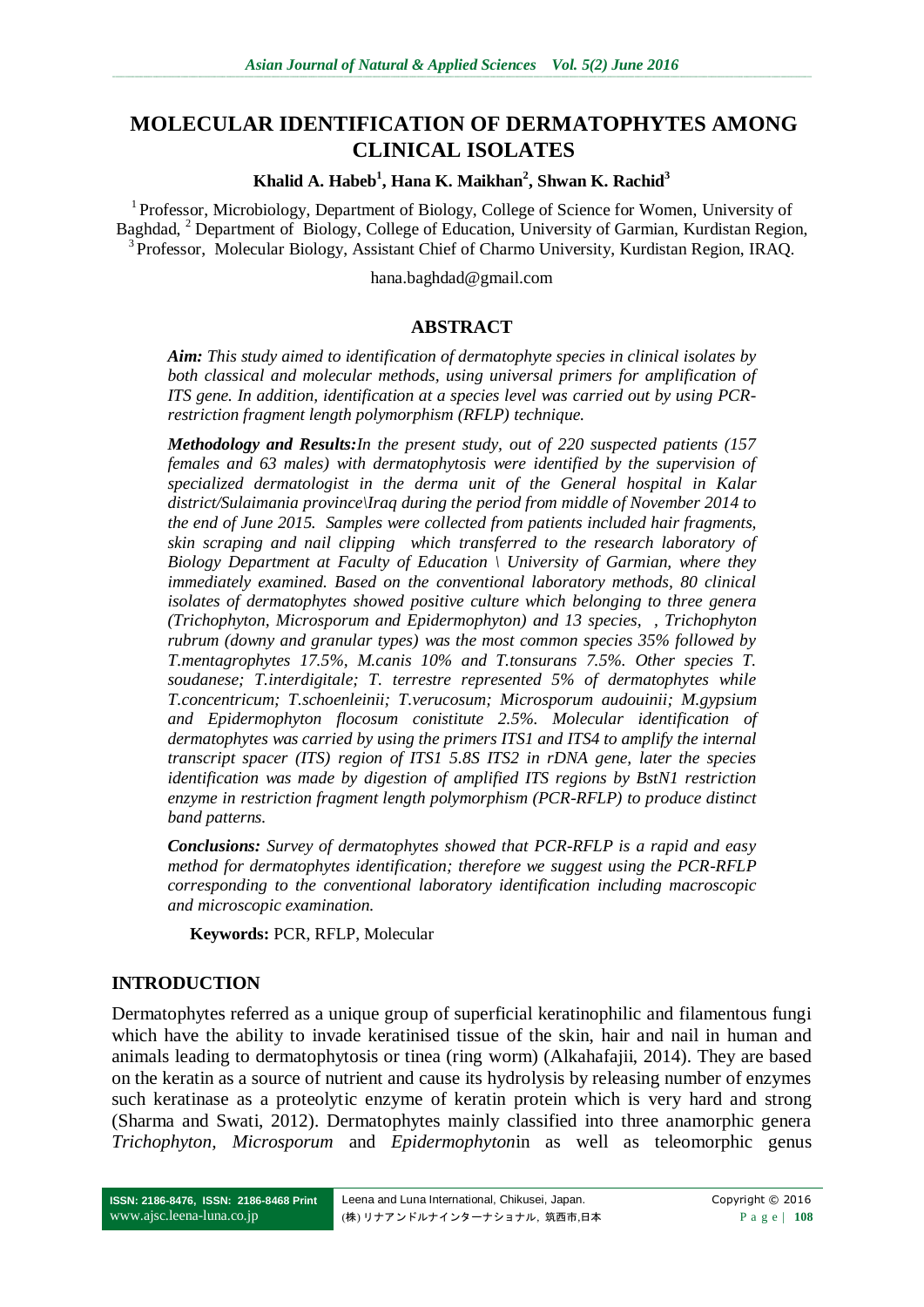# **MOLECULAR IDENTIFICATION OF DERMATOPHYTES AMONG CLINICAL ISOLATES**

#### **Khalid A. Habeb<sup>1</sup> , Hana K. Maikhan<sup>2</sup> , Shwan K. Rachid<sup>3</sup>**

<sup>1</sup> Professor, Microbiology, Department of Biology, College of Science for Women, University of Baghdad, <sup>2</sup> Department of Biology, College of Education, University of Garmian, Kurdistan Region, <sup>3</sup> Professor, Molecular Biology, Assistant Chief of Charmo University, Kurdistan Region, IRAQ.

hana.baghdad@gmail.com

### **ABSTRACT**

*Aim: This study aimed to identification of dermatophyte species in clinical isolates by both classical and molecular methods, using universal primers for amplification of ITS gene. In addition, identification at a species level was carried out by using PCRrestriction fragment length polymorphism (RFLP) technique.*

*Methodology and Results:In the present study, out of 220 suspected patients (157 females and 63 males) with dermatophytosis were identified by the supervision of specialized dermatologist in the derma unit of the General hospital in Kalar district/Sulaimania province\Iraq during the period from middle of November 2014 to the end of June 2015. Samples were collected from patients included hair fragments, skin scraping and nail clipping which transferred to the research laboratory of Biology Department at Faculty of Education \ University of Garmian, where they immediately examined. Based on the conventional laboratory methods, 80 clinical isolates of dermatophytes showed positive culture which belonging to three genera (Trichophyton, Microsporum and Epidermophyton) and 13 species, , Trichophyton rubrum (downy and granular types) was the most common species 35% followed by T.mentagrophytes 17.5%, M.canis 10% and T.tonsurans 7.5%. Other species T. soudanese; T.interdigitale; T. terrestre represented 5% of dermatophytes while T.concentricum; T.schoenleinii; T.verucosum; Microsporum audouinii; M.gypsium and Epidermophyton flocosum conistitute 2.5%. Molecular identification of dermatophytes was carried by using the primers ITS1 and ITS4 to amplify the internal transcript spacer (ITS) region of ITS1 5.8S ITS2 in rDNA gene, later the species identification was made by digestion of amplified ITS regions by BstN1 restriction enzyme in restriction fragment length polymorphism (PCR-RFLP) to produce distinct band patterns.*

*Conclusions: Survey of dermatophytes showed that PCR-RFLP is a rapid and easy method for dermatophytes identification; therefore we suggest using the PCR-RFLP corresponding to the conventional laboratory identification including macroscopic and microscopic examination.*

**Keywords:** PCR, RFLP, Molecular

### **INTRODUCTION**

Dermatophytes referred as a unique group of superficial keratinophilic and filamentous fungi which have the ability to invade keratinised tissue of the skin, hair and nail in human and animals leading to dermatophytosis or tinea (ring worm) (Alkahafajii, 2014). They are based on the keratin as a source of nutrient and cause its hydrolysis by releasing number of enzymes such keratinase as a proteolytic enzyme of keratin protein which is very hard and strong (Sharma and Swati, 2012). Dermatophytes mainly classified into three anamorphic genera *Trichophyton, Microsporum* and *Epidermophyton*in as well as teleomorphic genus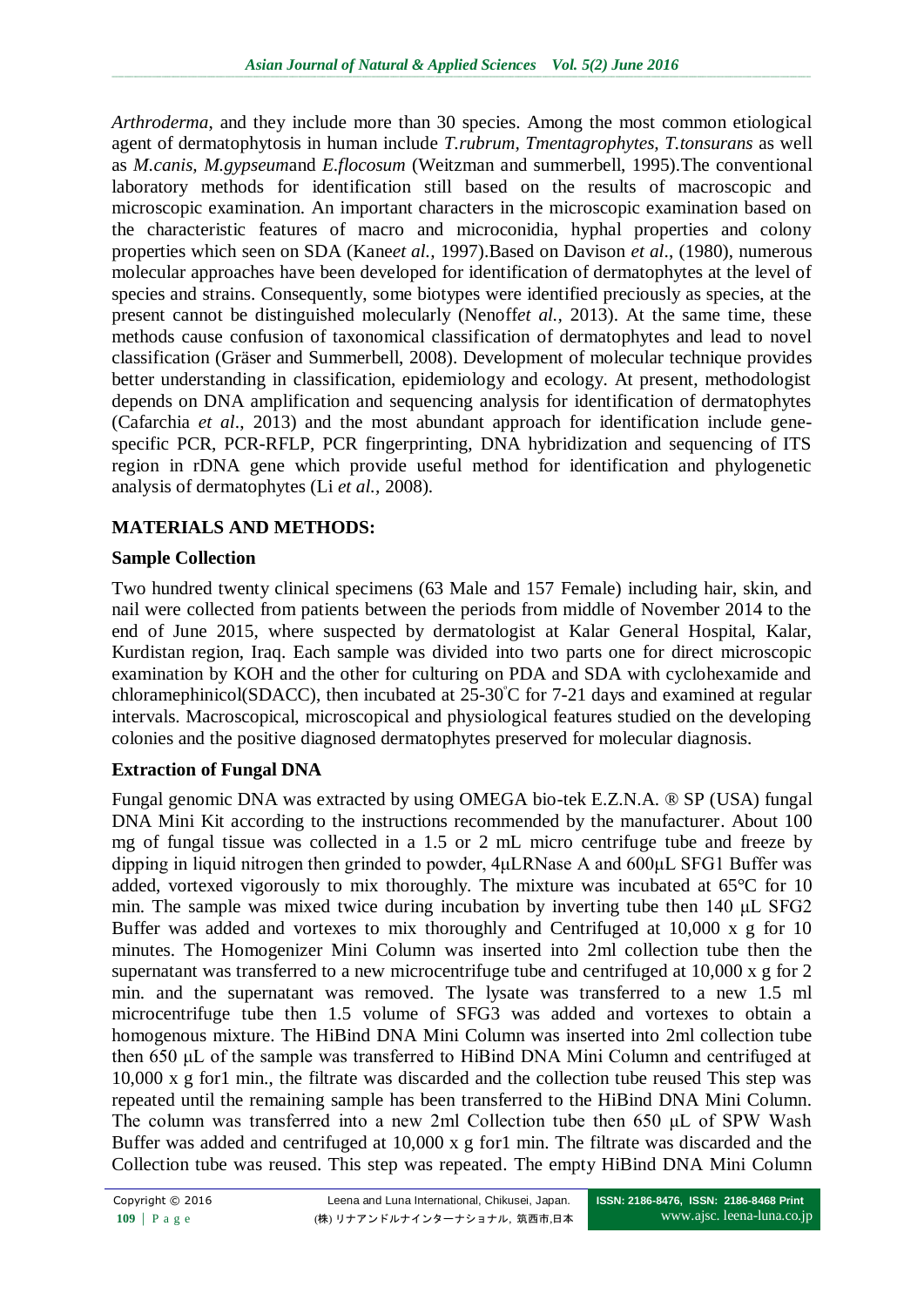*Arthroderma*, and they include more than 30 species. Among the most common etiological agent of dermatophytosis in human include *T.rubrum, Tmentagrophytes, T.tonsurans* as well as *M.canis, M.gypseum*and *E.flocosum* (Weitzman and summerbell, 1995).The conventional laboratory methods for identification still based on the results of macroscopic and microscopic examination. An important characters in the microscopic examination based on the characteristic features of macro and microconidia, hyphal properties and colony properties which seen on SDA (Kane*et al.,* 1997).Based on Davison *et al*., (1980), numerous molecular approaches have been developed for identification of dermatophytes at the level of species and strains. Consequently, some biotypes were identified preciously as species, at the present cannot be distinguished molecularly (Nenoff*et al.,* 2013). At the same time, these methods cause confusion of taxonomical classification of dermatophytes and lead to novel classification (Gräser and Summerbell, 2008). Development of molecular technique provides better understanding in classification, epidemiology and ecology. At present, methodologist depends on DNA amplification and sequencing analysis for identification of dermatophytes (Cafarchia *et al*., 2013) and the most abundant approach for identification include genespecific PCR, PCR-RFLP, PCR fingerprinting, DNA hybridization and sequencing of ITS region in rDNA gene which provide useful method for identification and phylogenetic analysis of dermatophytes (Li *et al.,* 2008).

## **MATERIALS AND METHODS:**

## **Sample Collection**

Two hundred twenty clinical specimens (63 Male and 157 Female) including hair, skin, and nail were collected from patients between the periods from middle of November 2014 to the end of June 2015, where suspected by dermatologist at Kalar General Hospital, Kalar, Kurdistan region, Iraq. Each sample was divided into two parts one for direct microscopic examination by KOH and the other for culturing on PDA and SDA with cyclohexamide and chloramephinicol(SDACC), then incubated at  $25\text{-}30\degree$ C for 7-21 days and examined at regular intervals. Macroscopical, microscopical and physiological features studied on the developing colonies and the positive diagnosed dermatophytes preserved for molecular diagnosis.

## **Extraction of Fungal DNA**

Fungal genomic DNA was extracted by using OMEGA bio-tek E.Z.N.A. ® SP (USA) fungal DNA Mini Kit according to the instructions recommended by the manufacturer. About 100 mg of fungal tissue was collected in a 1.5 or 2 mL micro centrifuge tube and freeze by dipping in liquid nitrogen then grinded to powder, 4μLRNase A and 600μL SFG1 Buffer was added, vortexed vigorously to mix thoroughly. The mixture was incubated at 65°C for 10 min. The sample was mixed twice during incubation by inverting tube then 140 μL SFG2 Buffer was added and vortexes to mix thoroughly and Centrifuged at 10,000 x g for 10 minutes. The Homogenizer Mini Column was inserted into 2ml collection tube then the supernatant was transferred to a new microcentrifuge tube and centrifuged at 10,000 x g for 2 min. and the supernatant was removed. The lysate was transferred to a new 1.5 ml microcentrifuge tube then 1.5 volume of SFG3 was added and vortexes to obtain a homogenous mixture. The HiBind DNA Mini Column was inserted into 2ml collection tube then 650 μL of the sample was transferred to HiBind DNA Mini Column and centrifuged at 10,000 x g for1 min., the filtrate was discarded and the collection tube reused This step was repeated until the remaining sample has been transferred to the HiBind DNA Mini Column. The column was transferred into a new 2ml Collection tube then 650 μL of SPW Wash Buffer was added and centrifuged at 10,000 x g for1 min. The filtrate was discarded and the Collection tube was reused. This step was repeated. The empty HiBind DNA Mini Column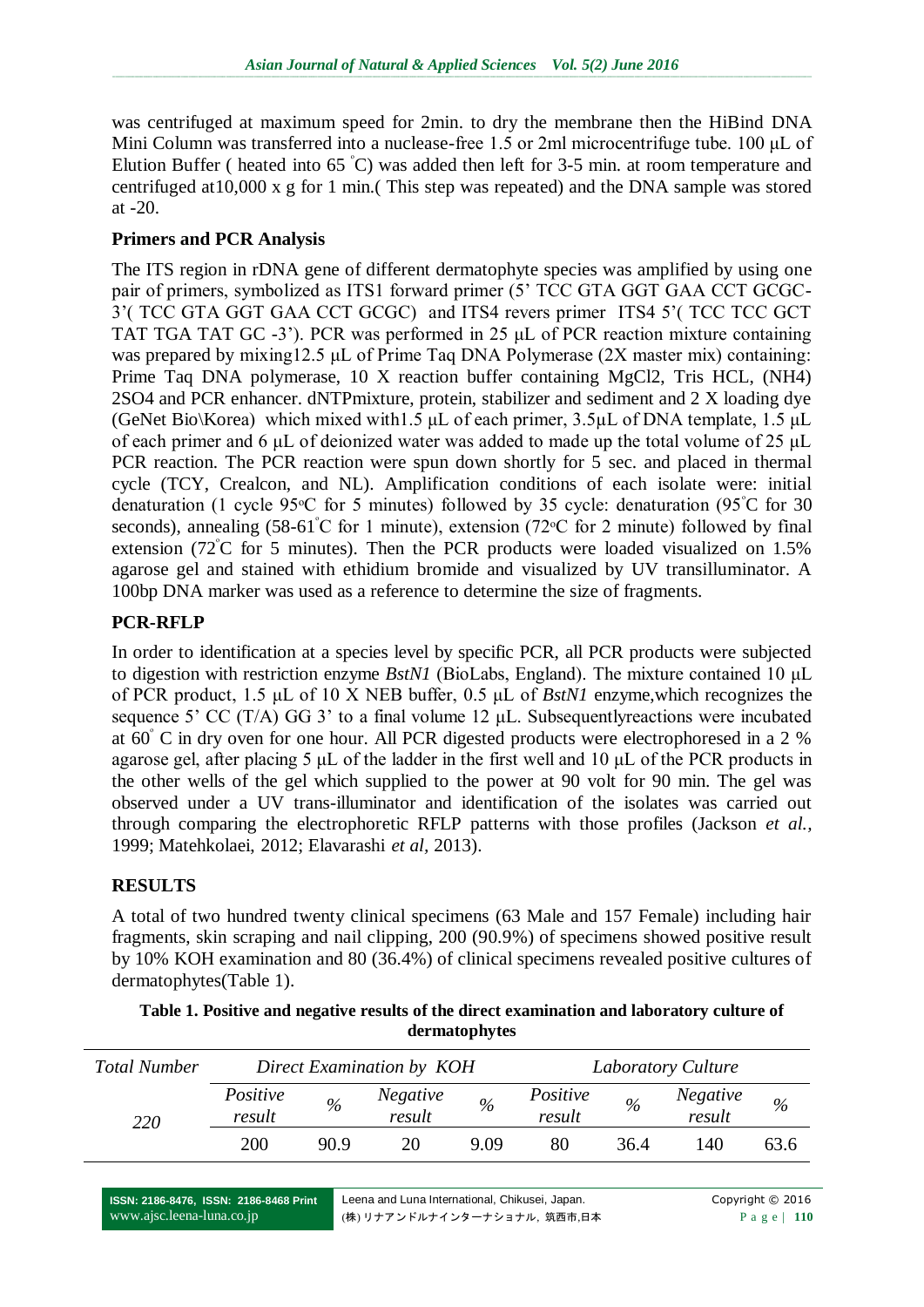was centrifuged at maximum speed for 2min. to dry the membrane then the HiBind DNA Mini Column was transferred into a nuclease-free 1.5 or 2ml microcentrifuge tube. 100 μL of Elution Buffer ( heated into  $65^{\degree}$ C) was added then left for 3-5 min. at room temperature and centrifuged at10,000 x g for 1 min.( This step was repeated) and the DNA sample was stored at -20.

### **Primers and PCR Analysis**

The ITS region in rDNA gene of different dermatophyte species was amplified by using one pair of primers, symbolized as ITS1 forward primer (5' TCC GTA GGT GAA CCT GCGC-3'( TCC GTA GGT GAA CCT GCGC) and ITS4 revers primer ITS4 5'( TCC TCC GCT TAT TGA TAT GC -3'). PCR was performed in 25 μL of PCR reaction mixture containing was prepared by mixing12.5 μL of Prime Taq DNA Polymerase (2X master mix) containing: Prime Taq DNA polymerase, 10 X reaction buffer containing MgCl2, Tris HCL, (NH4) 2SO4 and PCR enhancer. dNTPmixture, protein, stabilizer and sediment and 2 X loading dye (GeNet Bio\Korea) which mixed with1.5  $\mu$ L of each primer, 3.5 $\mu$ L of DNA template, 1.5  $\mu$ L of each primer and 6 μL of deionized water was added to made up the total volume of 25 μL PCR reaction. The PCR reaction were spun down shortly for 5 sec. and placed in thermal cycle (TCY, Crealcon, and NL). Amplification conditions of each isolate were: initial denaturation (1 cycle 95 $\degree$ C for 5 minutes) followed by 35 cycle: denaturation (95 $\degree$ C for 30 seconds), annealing  $(58-61^{\circ}C$  for 1 minute), extension  $(72^{\circ}C$  for 2 minute) followed by final extension (72 $\degree$ C for 5 minutes). Then the PCR products were loaded visualized on 1.5% agarose gel and stained with ethidium bromide and visualized by UV transilluminator. A 100bp DNA marker was used as a reference to determine the size of fragments.

### **PCR-RFLP**

In order to identification at a species level by specific PCR, all PCR products were subjected to digestion with restriction enzyme *BstN1* (BioLabs, England). The mixture contained 10 μL of PCR product, 1.5 μL of 10 X NEB buffer, 0.5 μL of *BstN1* enzyme,which recognizes the sequence 5' CC (T/A) GG 3' to a final volume 12  $\mu$ L. Subsequently reactions were incubated at  $60^{\circ}$  C in dry oven for one hour. All PCR digested products were electrophoresed in a 2 % agarose gel, after placing 5 μL of the ladder in the first well and 10 μL of the PCR products in the other wells of the gel which supplied to the power at 90 volt for 90 min. The gel was observed under a UV trans-illuminator and identification of the isolates was carried out through comparing the electrophoretic RFLP patterns with those profiles (Jackson *et al.,* 1999; Matehkolaei, 2012; Elavarashi *et al,* 2013).

### **RESULTS**

A total of two hundred twenty clinical specimens (63 Male and 157 Female) including hair fragments, skin scraping and nail clipping, 200 (90.9%) of specimens showed positive result by 10% KOH examination and 80 (36.4%) of clinical specimens revealed positive cultures of dermatophytes(Table 1).

| <b>Total Number</b> | Direct Examination by KOH |               |                    |               | Laboratory Culture |               |                           |      |
|---------------------|---------------------------|---------------|--------------------|---------------|--------------------|---------------|---------------------------|------|
| 220                 | Positive<br>result        | $\frac{0}{0}$ | Negative<br>result | $\frac{0}{0}$ | Positive<br>result | $\frac{0}{0}$ | <b>Negative</b><br>result | $\%$ |
|                     | 200                       | 90.9          | 20                 | 9.09          | 80                 | 36.4          | 140                       | 63.6 |

**Table 1. Positive and negative results of the direct examination and laboratory culture of dermatophytes**

**ISSN: 2186-8476, ISSN: 2186-8468 Print** www.ajsc.leena-luna.co.jp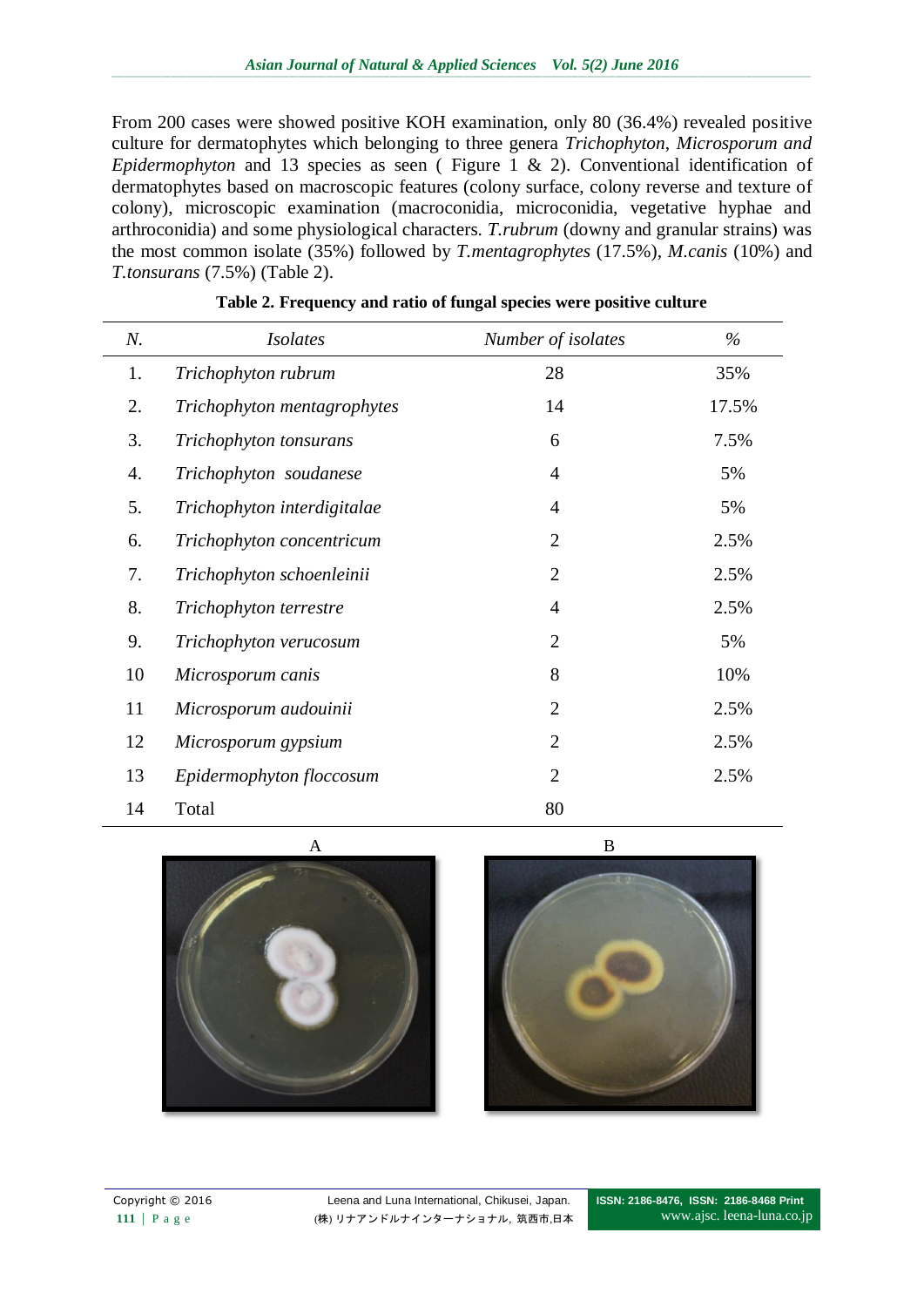From 200 cases were showed positive KOH examination, only 80 (36.4%) revealed positive culture for dermatophytes which belonging to three genera *Trichophyton*, *Microsporum and Epidermophyton* and 13 species as seen (Figure 1 & 2). Conventional identification of dermatophytes based on macroscopic features (colony surface, colony reverse and texture of colony), microscopic examination (macroconidia, microconidia, vegetative hyphae and arthroconidia) and some physiological characters. *T.rubrum* (downy and granular strains) was the most common isolate (35%) followed by *T.mentagrophytes* (17.5%), *M.canis* (10%) and *T.tonsurans* (7.5%) (Table 2).

| N. | <b>Isolates</b>             | Number of isolates | $\%$  |
|----|-----------------------------|--------------------|-------|
| 1. | Trichophyton rubrum         | 28                 | 35%   |
| 2. | Trichophyton mentagrophytes | 14                 | 17.5% |
| 3. | Trichophyton tonsurans      | 6                  | 7.5%  |
| 4. | Trichophyton soudanese      | $\overline{4}$     | 5%    |
| 5. | Trichophyton interdigitalae | $\overline{4}$     | 5%    |
| 6. | Trichophyton concentricum   | $\overline{2}$     | 2.5%  |
| 7. | Trichophyton schoenleinii   | $\overline{2}$     | 2.5%  |
| 8. | Trichophyton terrestre      | $\overline{4}$     | 2.5%  |
| 9. | Trichophyton verucosum      | $\overline{2}$     | 5%    |
| 10 | Microsporum canis           | 8                  | 10%   |
| 11 | Microsporum audouinii       | $\overline{2}$     | 2.5%  |
| 12 | Microsporum gypsium         | $\overline{2}$     | 2.5%  |
| 13 | Epidermophyton floccosum    | $\overline{2}$     | 2.5%  |
| 14 | Total                       | 80                 |       |

| Table 2. Frequency and ratio of fungal species were positive culture |  |  |  |
|----------------------------------------------------------------------|--|--|--|
|                                                                      |  |  |  |



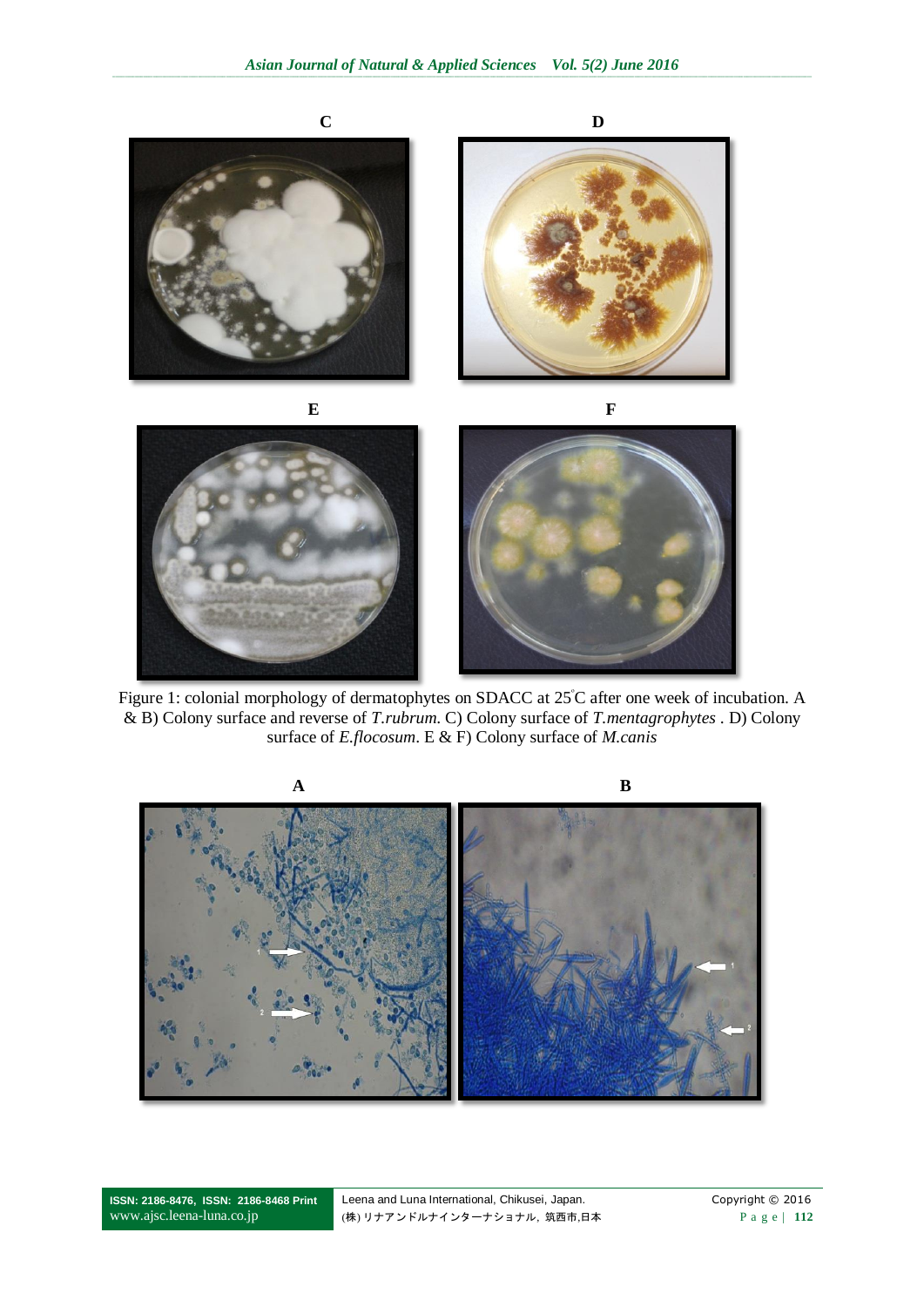

Figure 1: colonial morphology of dermatophytes on SDACC at 25°C after one week of incubation. A & B) Colony surface and reverse of *T.rubrum*. C) Colony surface of *T.mentagrophytes* . D) Colony surface of *E.flocosum*. E & F) Colony surface of *M.canis*



**ISSN: 2186-8476, ISSN: 2186-8468 Print** www.ajsc.leena-luna.co.jp

Leena and Luna International, Chikusei, Japan. Copyright © 2016 (株) リナアンドルナインターナショナル, 筑西市,日本 P a g e | **112**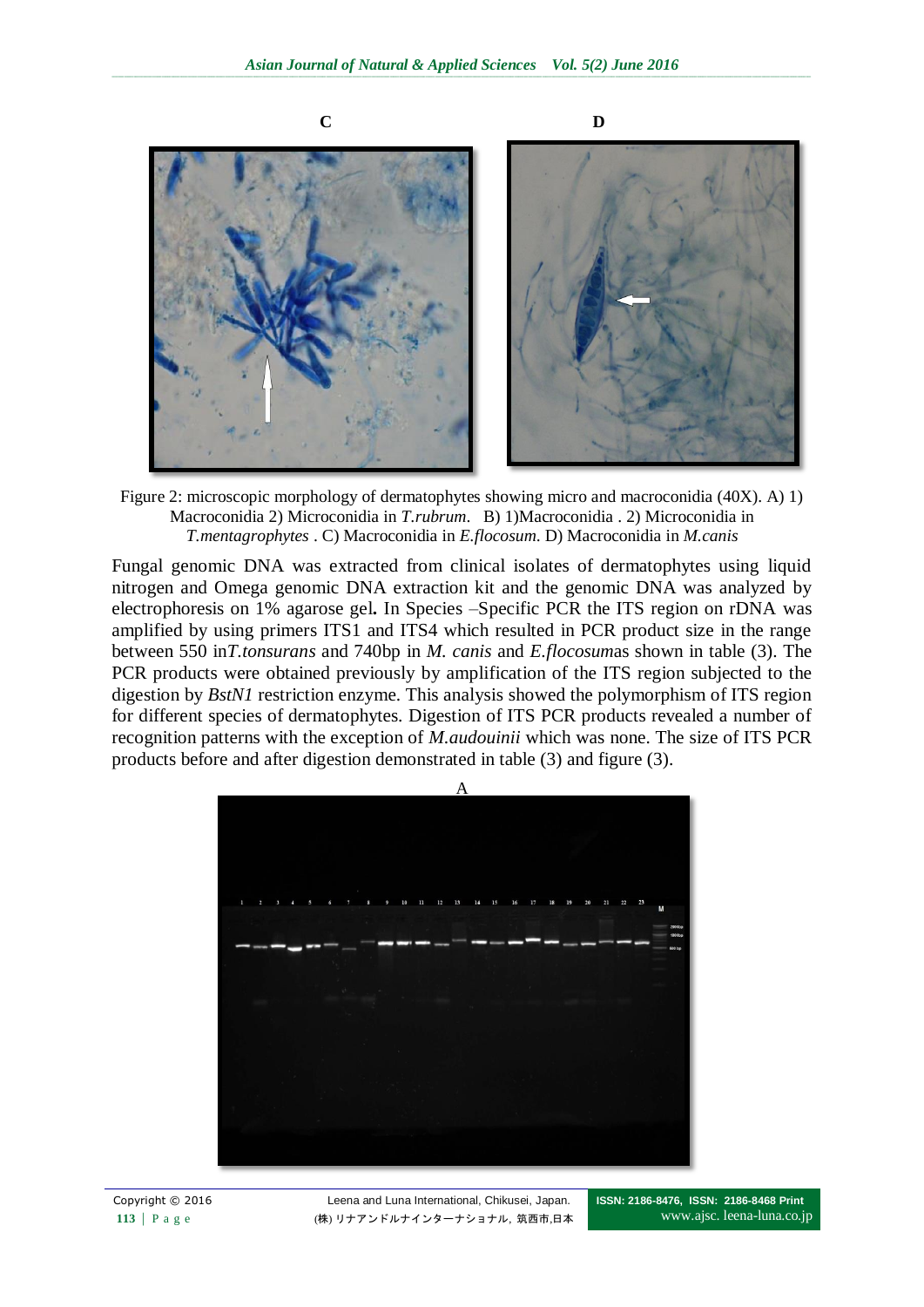

Figure 2: microscopic morphology of dermatophytes showing micro and macroconidia (40X). A) 1) Macroconidia 2) Microconidia in *T.rubrum*. B) 1)Macroconidia . 2) Microconidia in *T.mentagrophytes* . C) Macroconidia in *E.flocosum*. D) Macroconidia in *M.canis*

Fungal genomic DNA was extracted from clinical isolates of dermatophytes using liquid nitrogen and Omega genomic DNA extraction kit and the genomic DNA was analyzed by electrophoresis on 1% agarose gel**.** In Species –Specific PCR the ITS region on rDNA was amplified by using primers ITS1 and ITS4 which resulted in PCR product size in the range between 550 in*T.tonsurans* and 740bp in *M. canis* and *E.flocosum*as shown in table (3). The PCR products were obtained previously by amplification of the ITS region subjected to the digestion by *BstN1* restriction enzyme. This analysis showed the polymorphism of ITS region for different species of dermatophytes. Digestion of ITS PCR products revealed a number of recognition patterns with the exception of *M.audouinii* which was none. The size of ITS PCR products before and after digestion demonstrated in table (3) and figure (3).

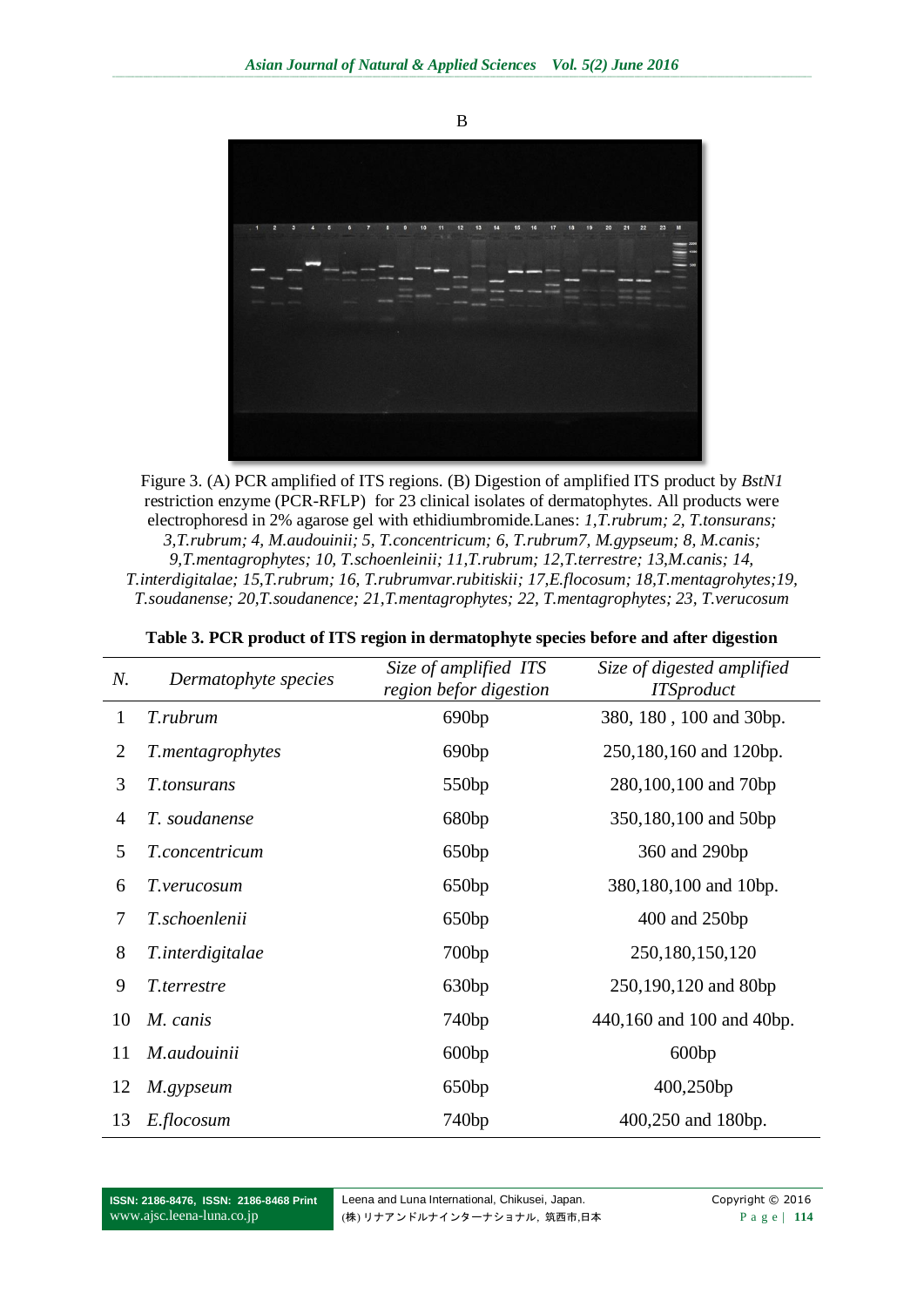

Figure 3. (A) PCR amplified of ITS regions. (B) Digestion of amplified ITS product by *BstN1* restriction enzyme (PCR-RFLP) for 23 clinical isolates of dermatophytes. All products were electrophoresd in 2% agarose gel with ethidiumbromide.Lanes: *1,T.rubrum; 2, T.tonsurans; 3,T.rubrum; 4, M.audouinii; 5, T.concentricum; 6, T.rubrum7, M.gypseum; 8, M.canis; 9,T.mentagrophytes; 10, T.schoenleinii; 11,T.rubrum; 12,T.terrestre; 13,M.canis; 14, T.interdigitalae; 15,T.rubrum; 16, T.rubrumvar.rubitiskii; 17,E.flocosum; 18,T.mentagrohytes;19, T.soudanense; 20,T.soudanence; 21,T.mentagrophytes; 22, T.mentagrophytes; 23, T.verucosum*

| N.             | Dermatophyte species | Size of amplified ITS<br>region befor digestion | Size of digested amplified<br><b>ITSproduct</b> |  |
|----------------|----------------------|-------------------------------------------------|-------------------------------------------------|--|
| 1              | T.rubrum             | 690 <sub>bp</sub>                               | 380, 180, 100 and 30bp.                         |  |
| $\overline{2}$ | T.mentagrophytes     | 690 <sub>bp</sub>                               | 250,180,160 and 120bp.                          |  |
| 3              | T.tonsurans          | 550 <sub>bp</sub>                               | 280,100,100 and 70bp                            |  |
| $\overline{4}$ | T. soudanense        | 680bp                                           | 350,180,100 and 50bp                            |  |
| 5              | T.concentricum       | 650bp                                           | 360 and 290bp                                   |  |
| 6              | T.verucosum          | 650bp                                           | 380,180,100 and 10bp.                           |  |
| 7              | T.schoenlenii        | 650bp                                           | 400 and 250bp                                   |  |
| 8              | T.interdigitalae     | 700bp                                           | 250,180,150,120                                 |  |
| 9              | T.terrestre          | 630bp                                           | 250,190,120 and 80bp                            |  |
| 10             | M. canis             | 740bp                                           | 440,160 and 100 and 40bp.                       |  |
| 11             | M.audouinii          | 600bp                                           | 600bp                                           |  |
| 12             | M.gypseum            | 650bp                                           | 400,250bp                                       |  |
| 13             | E.flocosum           | 740bp                                           | 400,250 and 180bp.                              |  |

| Table 3. PCR product of ITS region in dermatophyte species before and after digestion |  |  |  |  |
|---------------------------------------------------------------------------------------|--|--|--|--|
|---------------------------------------------------------------------------------------|--|--|--|--|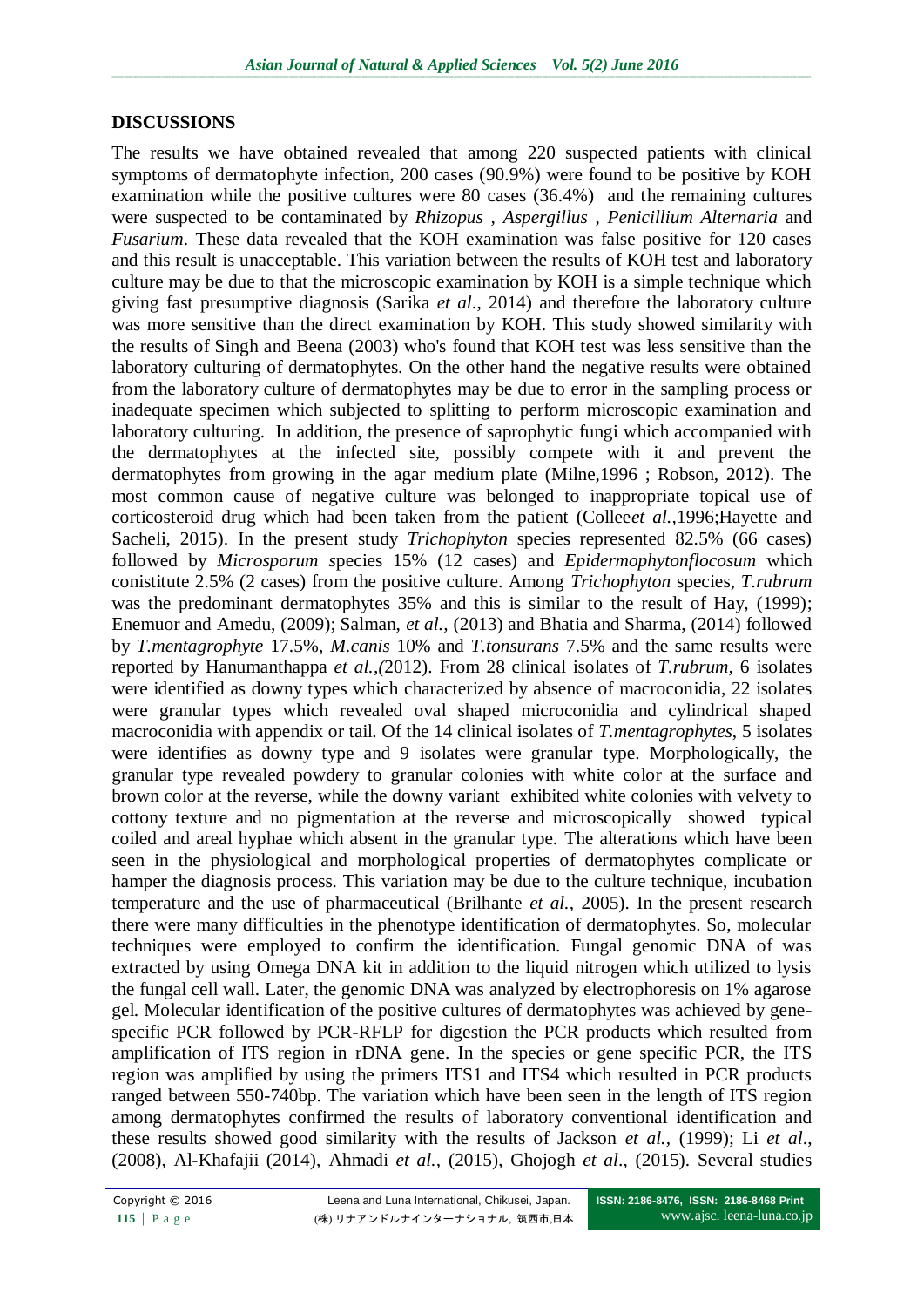### **DISCUSSIONS**

The results we have obtained revealed that among 220 suspected patients with clinical symptoms of dermatophyte infection, 200 cases (90.9%) were found to be positive by KOH examination while the positive cultures were 80 cases (36.4%) and the remaining cultures were suspected to be contaminated by *Rhizopus , Aspergillus* , *Penicillium Alternaria* and *Fusarium*. These data revealed that the KOH examination was false positive for 120 cases and this result is unacceptable. This variation between the results of KOH test and laboratory culture may be due to that the microscopic examination by KOH is a simple technique which giving fast presumptive diagnosis (Sarika *et al*., 2014) and therefore the laboratory culture was more sensitive than the direct examination by KOH. This study showed similarity with the results of Singh and Beena (2003) who's found that KOH test was less sensitive than the laboratory culturing of dermatophytes. On the other hand the negative results were obtained from the laboratory culture of dermatophytes may be due to error in the sampling process or inadequate specimen which subjected to splitting to perform microscopic examination and laboratory culturing. In addition, the presence of saprophytic fungi which accompanied with the dermatophytes at the infected site, possibly compete with it and prevent the dermatophytes from growing in the agar medium plate (Milne,1996 ; Robson, 2012). The most common cause of negative culture was belonged to inappropriate topical use of corticosteroid drug which had been taken from the patient (Collee*et al.,*1996;Hayette and Sacheli, 2015). In the present study *Trichophyton* species represented 82.5% (66 cases) followed by *Microsporum s*pecies 15% (12 cases) and *Epidermophytonflocosum* which conistitute 2.5% (2 cases) from the positive culture. Among *Trichophyton* species, *T.rubrum*  was the predominant dermatophytes 35% and this is similar to the result of Hay, (1999); Enemuor and Amedu, (2009); Salman, *et al.,* (2013) and Bhatia and Sharma, (2014) followed by *T.mentagrophyte* 17.5%, *M.canis* 10% and *T.tonsurans* 7.5% and the same results were reported by Hanumanthappa *et al.,(*2012). From 28 clinical isolates of *T.rubrum,* 6 isolates were identified as downy types which characterized by absence of macroconidia, 22 isolates were granular types which revealed oval shaped microconidia and cylindrical shaped macroconidia with appendix or tail. Of the 14 clinical isolates of *T.mentagrophytes*, 5 isolates were identifies as downy type and 9 isolates were granular type. Morphologically, the granular type revealed powdery to granular colonies with white color at the surface and brown color at the reverse, while the downy variant exhibited white colonies with velvety to cottony texture and no pigmentation at the reverse and microscopically showed typical coiled and areal hyphae which absent in the granular type. The alterations which have been seen in the physiological and morphological properties of dermatophytes complicate or hamper the diagnosis process. This variation may be due to the culture technique, incubation temperature and the use of pharmaceutical (Brilhante *et al.,* 2005). In the present research there were many difficulties in the phenotype identification of dermatophytes. So, molecular techniques were employed to confirm the identification. Fungal genomic DNA of was extracted by using Omega DNA kit in addition to the liquid nitrogen which utilized to lysis the fungal cell wall. Later, the genomic DNA was analyzed by electrophoresis on 1% agarose gel. Molecular identification of the positive cultures of dermatophytes was achieved by genespecific PCR followed by PCR-RFLP for digestion the PCR products which resulted from amplification of ITS region in rDNA gene. In the species or gene specific PCR, the ITS region was amplified by using the primers ITS1 and ITS4 which resulted in PCR products ranged between 550-740bp. The variation which have been seen in the length of ITS region among dermatophytes confirmed the results of laboratory conventional identification and these results showed good similarity with the results of Jackson *et al.,* (1999); Li *et al*., (2008), Al-Khafajii (2014), Ahmadi *et al.,* (2015), Ghojogh *et al*., (2015). Several studies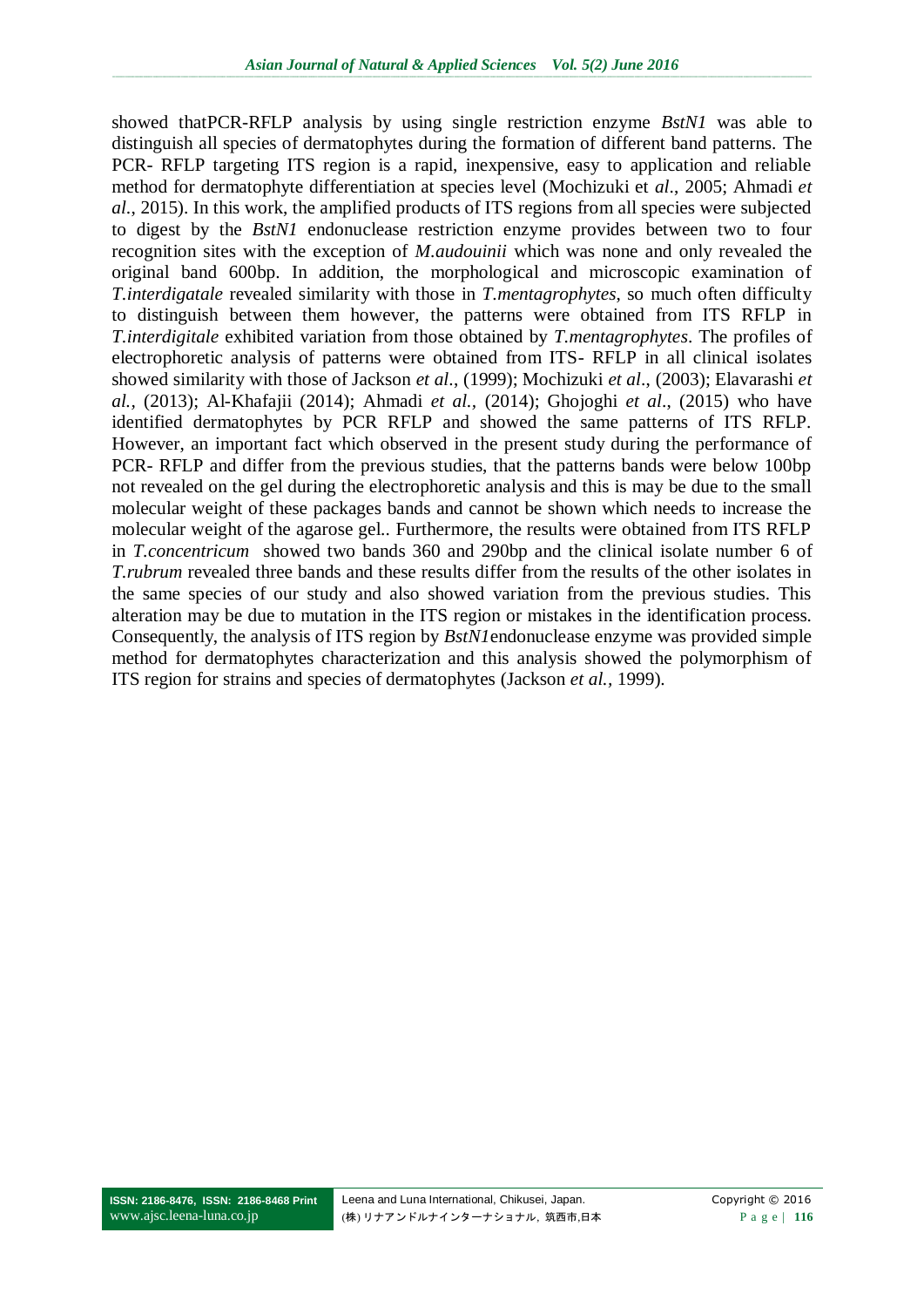showed thatPCR-RFLP analysis by using single restriction enzyme *BstN1* was able to distinguish all species of dermatophytes during the formation of different band patterns. The PCR- RFLP targeting ITS region is a rapid, inexpensive, easy to application and reliable method for dermatophyte differentiation at species level (Mochizuki et *al*., 2005; Ahmadi *et al*., 2015). In this work, the amplified products of ITS regions from all species were subjected to digest by the *BstN1* endonuclease restriction enzyme provides between two to four recognition sites with the exception of *M.audouinii* which was none and only revealed the original band 600bp. In addition, the morphological and microscopic examination of *T.interdigatale* revealed similarity with those in *T.mentagrophytes*, so much often difficulty to distinguish between them however, the patterns were obtained from ITS RFLP in *T.interdigitale* exhibited variation from those obtained by *T.mentagrophytes*. The profiles of electrophoretic analysis of patterns were obtained from ITS- RFLP in all clinical isolates showed similarity with those of Jackson *et al*., (1999); Mochizuki *et al*., (2003); Elavarashi *et al.,* (2013); Al-Khafajii (2014); Ahmadi *et al.,* (2014); Ghojoghi *et al*., (2015) who have identified dermatophytes by PCR RFLP and showed the same patterns of ITS RFLP. However, an important fact which observed in the present study during the performance of PCR- RFLP and differ from the previous studies, that the patterns bands were below 100bp not revealed on the gel during the electrophoretic analysis and this is may be due to the small molecular weight of these packages bands and cannot be shown which needs to increase the molecular weight of the agarose gel.. Furthermore, the results were obtained from ITS RFLP in *T.concentricum* showed two bands 360 and 290bp and the clinical isolate number 6 of *T.rubrum* revealed three bands and these results differ from the results of the other isolates in the same species of our study and also showed variation from the previous studies. This alteration may be due to mutation in the ITS region or mistakes in the identification process. Consequently, the analysis of ITS region by *BstN1*endonuclease enzyme was provided simple method for dermatophytes characterization and this analysis showed the polymorphism of ITS region for strains and species of dermatophytes (Jackson *et al.,* 1999).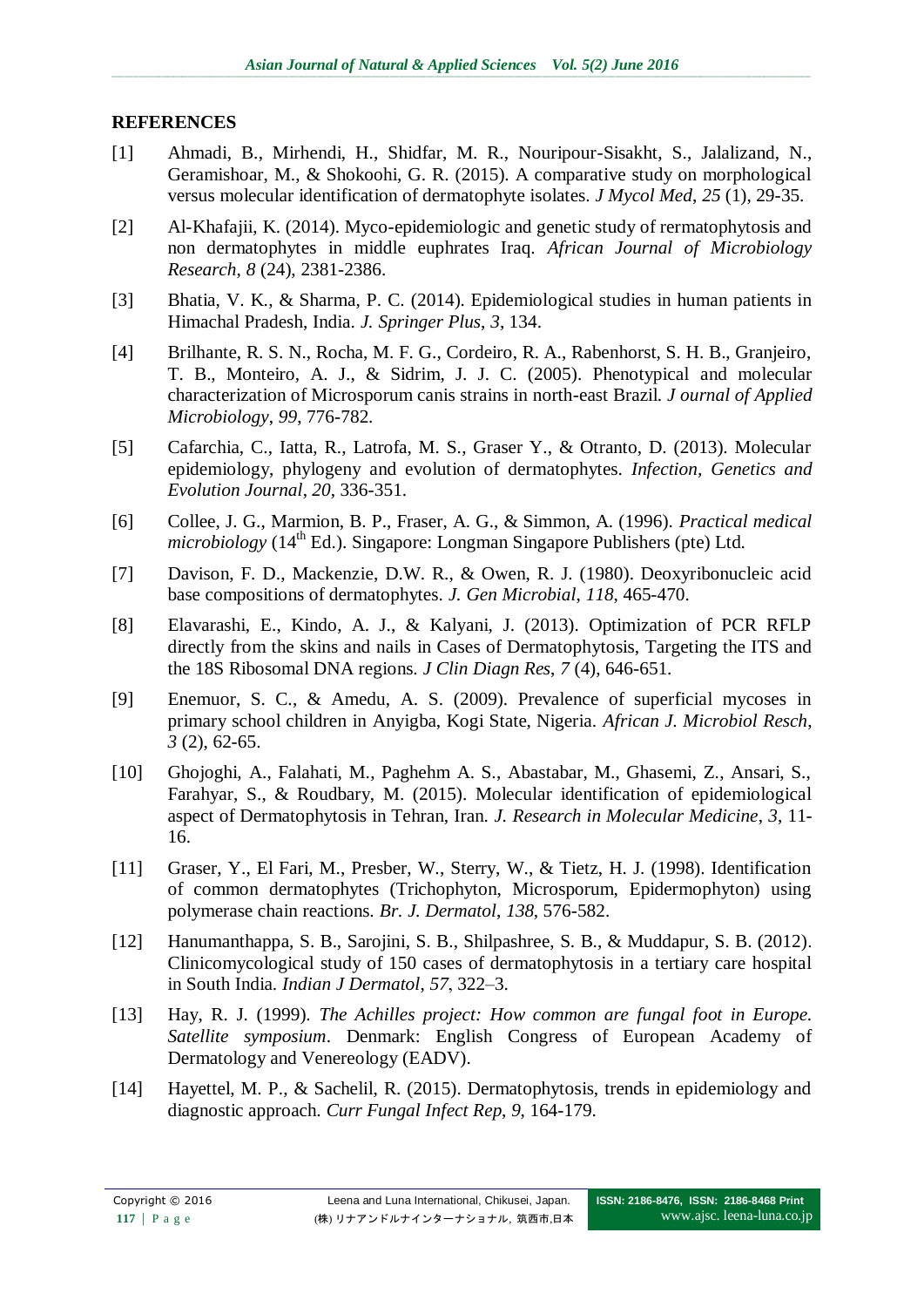## **REFERENCES**

- [1] Ahmadi, B., Mirhendi, H., Shidfar, M. R., Nouripour-Sisakht, S., Jalalizand, N., Geramishoar, M., & Shokoohi, G. R. (2015). A comparative study on morphological versus molecular identification of dermatophyte isolates. *J Mycol Med*, *25* (1), 29-35.
- [2] Al-Khafajii, K. (2014). Myco-epidemiologic and genetic study of rermatophytosis and non dermatophytes in middle euphrates Iraq. *African Journal of Microbiology Research*, *8* (24), 2381-2386.
- [3] Bhatia, V. K., & Sharma, P. C. (2014). Epidemiological studies in human patients in Himachal Pradesh, India. *J. Springer Plus*, *3*, 134.
- [4] Brilhante, R. S. N., Rocha, M. F. G., Cordeiro, R. A., Rabenhorst, S. H. B., Granjeiro, T. B., Monteiro, A. J., & Sidrim, J. J. C. (2005). Phenotypical and molecular characterization of Microsporum canis strains in north-east Brazil. *J ournal of Applied Microbiology*, *99*, 776-782.
- [5] Cafarchia, C., Iatta, R., Latrofa, M. S., Graser Y., & Otranto, D. (2013). Molecular epidemiology, phylogeny and evolution of dermatophytes. *Infection, Genetics and Evolution Journal*, *20*, 336-351.
- [6] Collee, J. G., Marmion, B. P., Fraser, A. G., & Simmon, A. (1996). *Practical medical microbiology* (14<sup>th</sup> Ed.). Singapore: Longman Singapore Publishers (pte) Ltd.
- [7] Davison, F. D., Mackenzie, D.W. R., & Owen, R. J. (1980). Deoxyribonucleic acid base compositions of dermatophytes. *J. Gen Microbial*, *118*, 465-470.
- [8] Elavarashi, E., Kindo, A. J., & Kalyani, J. (2013). Optimization of PCR RFLP directly from the skins and nails in Cases of Dermatophytosis, Targeting the ITS and the 18S Ribosomal DNA regions. *J Clin Diagn Res*, *7* (4), 646-651.
- [9] Enemuor, S. C., & Amedu, A. S. (2009). Prevalence of superficial mycoses in primary school children in Anyigba, Kogi State, Nigeria. *African J. Microbiol Resch*, *3* (2), 62-65.
- [10] Ghojoghi, A., Falahati, M., Paghehm A. S., Abastabar, M., Ghasemi, Z., Ansari, S., Farahyar, S., & Roudbary, M. (2015). Molecular identification of epidemiological aspect of Dermatophytosis in Tehran, Iran. *J. Research in Molecular Medicine*, *3*, 11- 16.
- [11] Graser, Y., El Fari, M., Presber, W., Sterry, W., & Tietz, H. J. (1998). Identification of common dermatophytes (Trichophyton, Microsporum, Epidermophyton) using polymerase chain reactions. *Br. J. Dermatol*, *138*, 576-582.
- [12] Hanumanthappa, S. B., Sarojini, S. B., Shilpashree, S. B., & Muddapur, S. B. (2012). Clinicomycological study of 150 cases of dermatophytosis in a tertiary care hospital in South India. *Indian J Dermatol*, *57*, 322–3.
- [13] Hay, R. J. (1999). *The Achilles project: How common are fungal foot in Europe. Satellite symposium*. Denmark: English Congress of European Academy of Dermatology and Venereology (EADV).
- [14] Hayettel, M. P., & Sachelil, R. (2015). Dermatophytosis, trends in epidemiology and diagnostic approach. *Curr Fungal Infect Rep*, *9*, 164-179.